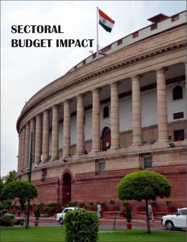# **SECTORAL BUDGET IMPACT**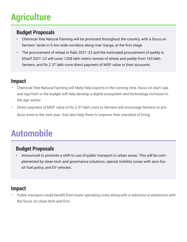# **Agriculture**

#### **Budget Proposals**

- Chemical-free Natural Farming will be promoted throughout the country, with a focus on farmers' lands in 5-km wide corridors along river Ganga, at the first stage.
- The procurement of wheat in Rabi 2021-22 and the estimated procurement of paddy in Kharif 2021-22 will cover 1208 lakh metric tonnes of wheat and paddy from 163 lakh farmers, and Rs 2.37 lakh crore direct payment of MSP value to their accounts.

#### **Impact**

- Chemical-free Natural Farming will likely help exports in the coming time, focus on start-ups and AgriTech in the budget will help develop a digital ecosystem and technology inclusion in the agri sector.
- Direct payment of MSP value of Rs 2.37 lakh crore to farmers will encourage farmers to produce more in the next year. And also help them to improve their standard of living.

### **Automobile**

#### **Budget Proposals**

• Announced to promote a shift to use of public transport in urban areas. This will be complemented by clean tech and governance solutions, special mobility zones with zero fossil-fuel policy, and EV vehicles.

#### **Impact**

• Public transport could benefit from lower operating costs along with a reduction in emissions with the focus on clean tech and EVs.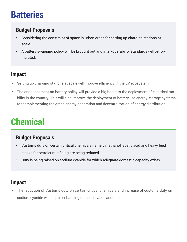## **Batteries**

### **Budget Proposals**

- Considering the constraint of space in urban areas for setting up charging stations at scale.
- A battery swapping policy will be brought out and inter-operability standards will be formulated.

#### **Impact**

- Setting up charging stations at scale will improve efficiency in the EV ecosystem.
- The announcement on battery policy will provide a big boost to the deployment of electrical mobility in the country. This will also improve the deployment of battery-led energy storage systems for complementing the green energy generation and decentralization of energy distribution.

# **Chemical**

#### **Budget Proposals**

- Customs duty on certain critical chemicals namely methanol, acetic acid and heavy feed stocks for petroleum refining are being reduced.
- Duty is being raised on sodium cyanide for which adequate domestic capacity exists.

### **Impact**

• The reduction of Customs duty on certain critical chemicals and increase of customs duty on sodium cyanide will help in enhancing domestic value addition.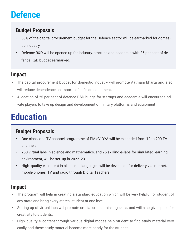# **Defence**

### **Budget Proposals**

- 68% of the capital procurement budget for the Defence sector will be earmarked for domestic industry.
- Defence R&D will be opened up for industry, startups and academia with 25 per cent of defence R&D budget earmarked.

#### **Impact**

- The capital procurement budget for domestic industry will promote Aatmanirbharta and also will reduce dependence on imports of defence equipment.
- Allocation of 25 per cent of defence R&D budge for startups and academia will encourage private players to take up design and development of military platforms and equipment

# **Education**

#### **Budget Proposals**

- One class-one TV channel programme of PM eVIDYA will be expanded from 12 to 200 TV channels.
- 750 virtual labs in science and mathematics, and 75 skilling e-labs for simulated learning environment, will be set-up in 2022-23.
- High-quality e-content in all spoken languages will be developed for delivery via internet, mobile phones, TV and radio through Digital Teachers.

- The program will help in creating a standard education which will be very helpful for student of any state and bring every states' student at one level.
- Setting up of virtual labs will promote crucial critical thinking skills, and will also give space for creativity to students.
- High-quality e-content through various digital modes help student to find study material very easily and these study material become more handy for the student.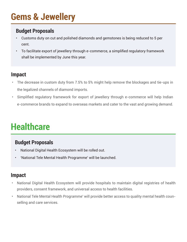# **Gems & Jewellery**

### **Budget Proposals**

- Customs duty on cut and polished diamonds and gemstones is being reduced to 5 per cent.
- To facilitate export of jewellery through e-commerce, a simplified regulatory framework shall be implemented by June this year.

#### **Impact**

- The decrease in custom duty from 7.5% to 5% might help remove the blockages and tie-ups in the legalized channels of diamond imports.
- Simplified regulatory framework for export of jewellery through e-commerce will help Indian e-commerce brands to expand to overseas markets and cater to the vast and growing demand.

# **Healthcare**

#### **Budget Proposals**

- National Digital Health Ecosystem will be rolled out.
- 'National Tele Mental Health Programme' will be launched.

- National Digital Health Ecosystem will provide hospitals to maintain digital registries of health providers, consent framework, and universal access to health facilities.
- National Tele Mental Health Programme' will provide better access to quality mental health counselling and care services.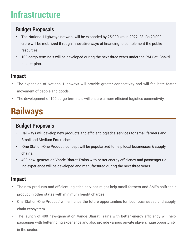# **Infrastructure**

### **Budget Proposals**

- The National Highways network will be expanded by 25,000 km in 2022-23. Rs 20,000 crore will be mobilized through innovative ways of financing to complement the public resources.
- 100 cargo terminals will be developed during the next three years under the PM Gati Shakti master plan.

#### **Impact**

- The expansion of National Highways will provide greater connectivity and will facilitate faster movement of people and goods.
- The development of 100 cargo terminals will ensure a more efficient logistics connectivity.

# **Railways**

### **Budget Proposals**

- Railways will develop new products and efficient logistics services for small farmers and Small and Medium Enterprises.
- 'One Station-One Product' concept will be popularized to help local businesses & supply chains.
- 400 new-generation Vande Bharat Trains with better energy efficiency and passenger riding experience will be developed and manufactured during the next three years.

- The new products and efficient logistics services might help small farmers and SMEs shift their product in other states with minimum freight charges.
- One Station-One Product' will enhance the future opportunities for local businesses and supply chain ecosystem.
- The launch of 400 new-generation Vande Bharat Trains with better energy efficiency will help passenger with better riding experience and also provide various private players huge opportunity in the sector.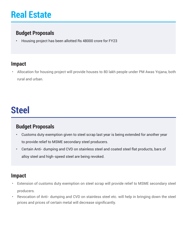# **Real Estate**

### **Budget Proposals**

• Housing project has been allotted Rs 48000 crore for FY23

#### **Impact**

• Allocation for housing project will provide houses to 80 lakh people under PM Awas Yojana, both rural and urban.

## **Steel**

### **Budget Proposals**

- Customs duty exemption given to steel scrap last year is being extended for another year to provide relief to MSME secondary steel producers.
- Certain Anti- dumping and CVD on stainless steel and coated steel flat products, bars of alloy steel and high-speed steel are being revoked.

- Extension of customs duty exemption on steel scrap will provide relief to MSME secondary steel producers.
- Revocation of Anti- dumping and CVD on stainless steel etc. will help in bringing down the steel prices and prices of certain metal will decrease significantly.